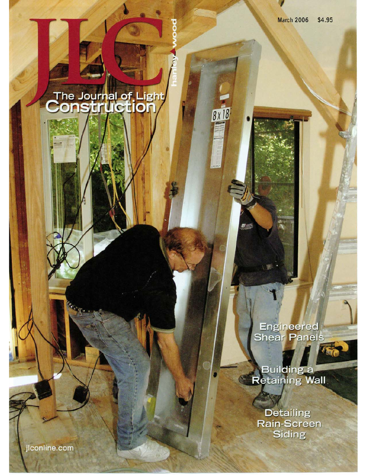8 x 18

o

# The Journal of Light<br>Construction

Engineered<br>Shear Panels

Building a

**Detailing** Rain-Screen Siding

jlconline.com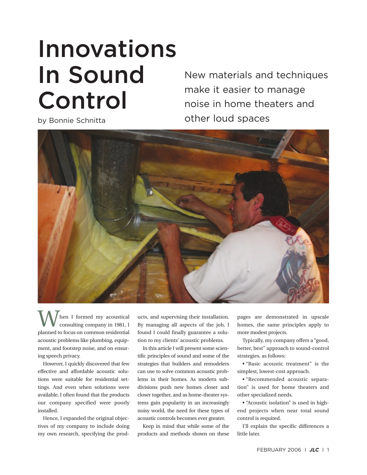# Innovations In Sound Control

New materials and techniques make it easier to manage noise in home theaters and by Bonnie Schnitta and School other loud spaces

hen I formed my acoustical consulting company in 1981, I planned to focus on common residential acoustic problems like plumbing, equipment, and footstep noise, and on ensuring speech privacy.

However, I quickly discovered that few effective and affordable acoustic solutions were suitable for residential settings. And even when solutions were available, I often found that the products our company specified were poorly installed.

Hence, I expanded the original objectives of my company to include doing my own research, specifying the products, and supervising their installation. By managing all aspects of the job, I found I could finally guarantee a solution to my clients' acoustic problems.

In this article I will present some scientific principles of sound and some of the strategies that builders and remodelers can use to solve common acoustic problems in their homes. As modern subdivisions push new homes closer and closer together, and as home-theater systems gain popularity in an increasingly noisy world, the need for these types of acoustic controls becomes ever greater.

Keep in mind that while some of the products and methods shown on these pages are demonstrated in upscale homes, the same principles apply to more modest projects.

Typically, my company offers a "good, better, best" approach to sound-control strategies, as follows:

• "Basic acoustic treatment" is the simplest, lowest-cost approach.

• "Recommended acoustic separation" is used for home theaters and other specialized needs.

• "Acoustic isolation" is used in highend projects when near total sound control is required.

I'll explain the specific differences a little later.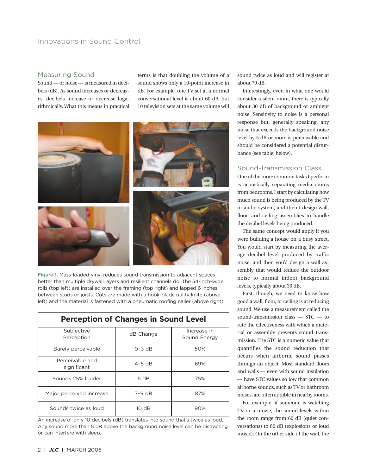# Innovations in Sound Control

#### Measuring Sound

Sound — or noise — is measured in decibels (dB). As sound increases or decreases, decibels increase or decrease logarithmically. What this means in practical terms is that doubling the volume of a sound shows only a 10-point increase in dB. For example, one TV set at a normal conversational level is about 60 dB, but 10 television sets at the same volume will



Figure 1. Mass-loaded vinyl reduces sound transmission to adjacent spaces better than multiple drywall layers and resilient channels do. The 54-inch-wide rolls (top left) are installed over the framing (top right) and lapped 6 inches between studs or joists. Cuts are made with a hook-blade utility knife (above left) and the material is fastened with a pneumatic roofing nailer (above right).

| <b>Perception of Changes in Sound Level</b> |            |                             |  |
|---------------------------------------------|------------|-----------------------------|--|
| Subjective<br>Perception                    | dB Change  | Increase in<br>Sound Energy |  |
| Barely perceivable                          | $O - 3 dB$ | 50%                         |  |
| Perceivable and<br>significant              | $4-5$ dB   | 69%                         |  |
| Sounds 25% louder                           | 6 dB       | 75%                         |  |
| Major perceived increase                    | $7-9$ dB   | 87%                         |  |
| Sounds twice as loud                        | 10 dB      | 90%                         |  |

An increase of only 10 decibels (dB) translates into sound that's twice as loud. Any sound more than 5 dB above the background noise level can be distracting or can interfere with sleep.

sound twice as loud and will register at about 70 dB.

Interestingly, even in what one would consider a silent room, there is typically about 30 dB of background or ambient noise. Sensitivity to noise is a personal response but, generally speaking, any noise that exceeds the background noise level by 5 dB or more is perceivable and should be considered a potential disturbance (see table, below).

## Sound-Transmission Class

One of the more common tasks I perform is acoustically separating media rooms from bedrooms. I start by calculating how much sound is being produced by the TV or audio system, and then I design wall, floor, and ceiling assemblies to handle the decibel levels being produced.

The same concept would apply if you were building a house on a busy street. You would start by measuring the average decibel level produced by traffic noise, and then you'd design a wall assembly that would reduce the outdoor noise to normal indoor background levels, typically about 30 dB.

First, though, we need to know how good a wall, floor, or ceiling is at reducing sound. We use a measurement called the sound-transmission class — STC — to rate the effectiveness with which a material or assembly prevents sound transmission. The STC is a numeric value that quantifies the sound reduction that occurs when airborne sound passes through an object. Most standard floors and walls — even with sound insulation — have STC values so low that common airborne sounds, such as TV or bathroom noises, are often audible in nearby rooms.

For example, if someone is watching TV or a movie, the sound levels within the room range from 60 dB (quiet conversations) to 80 dB (explosions or loud music). On the other side of the wall, the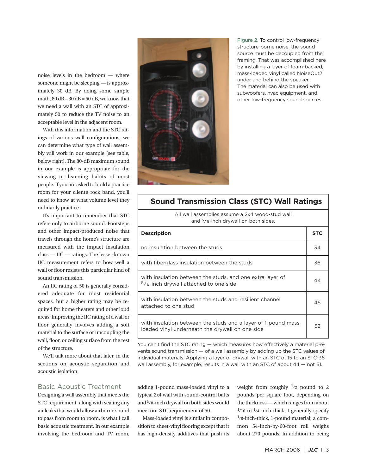noise levels in the bedroom — where someone might be sleeping — is approximately 30 dB. By doing some simple math,  $80$  dB –  $30$  dB =  $50$  dB, we know that we need a wall with an STC of approximately 50 to reduce the TV noise to an acceptable level in the adjacent room.

With this information and the STC ratings of various wall configurations, we can determine what type of wall assembly will work in our example (see table, below right). The 80-dB maximum sound in our example is appropriate for the viewing or listening habits of most people. If you are asked to build a practice room for your client's rock band, you'll need to know at what volume level they ordinarily practice.

It's important to remember that STC refers only to airborne sound. Footsteps and other impact-produced noise that travels through the home's structure are measured with the impact insulation class — IIC — ratings. The lesser-known IIC measurement refers to how well a wall or floor resists this particular kind of sound transmission.

An IIC rating of 50 is generally considered adequate for most residential spaces, but a higher rating may be required for home theaters and other loud areas. Improving the IIC rating of a wall or floor generally involves adding a soft material to the surface or uncoupling the wall, floor, or ceiling surface from the rest of the structure.

We'll talk more about that later, in the sections on acoustic separation and acoustic isolation.

#### Basic Acoustic Treatment

Designing a wall assembly that meets the STC requirement, along with sealing any air leaks that would allow airborne sound to pass from room to room, is what I call basic acoustic treatment. In our example involving the bedroom and TV room,



Figure 2. To control low-frequency structure-borne noise, the sound source must be decoupled from the framing. That was accomplished here by installing a layer of foam-backed, mass-loaded vinyl called NoiseOut2 under and behind the speaker. The material can also be used with subwoofers, hvac equipment, and other low-frequency sound sources.

| <b>Sound Transmission Class (STC) Wall Ratings</b>                                                                |            |  |  |
|-------------------------------------------------------------------------------------------------------------------|------------|--|--|
| All wall assemblies assume a 2x4 wood-stud wall<br>and <sup>5</sup> /8-inch drywall on both sides.                |            |  |  |
| <b>Description</b>                                                                                                | <b>STC</b> |  |  |
| no insulation between the studs                                                                                   | 34         |  |  |
| with fiberglass insulation between the studs                                                                      | 36         |  |  |
| with insulation between the studs, and one extra layer of<br><sup>5</sup> /8-inch drywall attached to one side    | 44         |  |  |
| with insulation between the studs and resilient channel<br>attached to one stud                                   | 46         |  |  |
| with insulation between the studs and a layer of 1-pound mass-<br>loaded vinyl underneath the drywall on one side | 52         |  |  |

You can't find the STC rating — which measures how effectively a material prevents sound transmission — of a wall assembly by adding up the STC values of individual materials. Applying a layer of drywall with an STC of 15 to an STC-36 wall assembly, for example, results in a wall with an STC of about  $44$  – not 51.

adding 1-pound mass-loaded vinyl to a typical 2x4 wall with sound-control batts and 5⁄8-inch drywall on both sides would meet our STC requirement of 50.

Mass-loaded vinyl is similar in composition to sheet-vinyl flooring except that it has high-density additives that push its weight from roughly  $\frac{1}{2}$  pound to 2 pounds per square foot, depending on the thickness — which ranges from about  $\frac{1}{16}$  to  $\frac{1}{4}$  inch thick. I generally specify 1⁄8-inch-thick, 1-pound material; a common 54-inch-by-60-foot roll weighs about 270 pounds. In addition to being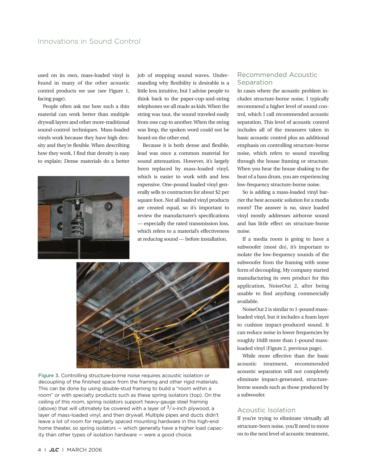# Innovations in Sound Control

used on its own, mass-loaded vinyl is found in many of the other acoustic control products we use (see Figure 1, facing page).

People often ask me how such a thin material can work better than multiple drywall layers and other more-traditional sound-control techniques. Mass-loaded vinyls work because they have high density and they're flexible. When describing how they work, I find that density is easy to explain: Dense materials do a better



job of stopping sound waves. Understanding why flexibility is desirable is a little less intuitive, but I advise people to think back to the paper-cup-and-string telephones we all made as kids. When the string was taut, the sound traveled easily from one cup to another. When the string was limp, the spoken word could not be heard on the other end.

Because it is both dense and flexible, lead was once a common material for sound attenuation. However, it's largely been replaced by mass-loaded vinyl, which is easier to work with and less expensive. One-pound loaded vinyl generally sells to contractors for about \$2 per square foot. Not all loaded vinyl products are created equal, so it's important to review the manufacturer's specifications — especially the rated transmission loss, which refers to a material's effectiveness at reducing sound — before installation.



Figure 3. Controlling structure-borne noise requires acoustic isolation or decoupling of the finished space from the framing and other rigid materials. This can be done by using double-stud framing to build a "room within a room" or with specialty products such as these spring isolators (top). On the ceiling of this room, spring isolators support heavy-gauge steel framing (above) that will ultimately be covered with a layer of  $\frac{3}{4}$ -inch plywood, a layer of mass-loaded vinyl, and then drywall. Multiple pipes and ducts didn't leave a lot of room for regularly spaced mounting hardware in this high-end home theater, so spring isolators — which generally have a higher load capacity than other types of isolation hardware — were a good choice.

### Recommended Acoustic Separation

In cases where the acoustic problem includes structure-borne noise, I typically recommend a higher level of sound control, which I call recommended acoustic separation. This level of acoustic control includes all of the measures taken in basic acoustic control plus an additional emphasis on controlling structure-borne noise, which refers to sound traveling through the house framing or structure. When you hear the house shaking to the beat of a bass drum, you are experiencing low-frequency structure-borne noise.

So is adding a mass-loaded vinyl barrier the best acoustic solution for a media room? The answer is no, since loaded vinyl mostly addresses airborne sound and has little effect on structure-borne noise.

If a media room is going to have a subwoofer (most do), it's important to isolate the low-frequency sounds of the subwoofer from the framing with some form of decoupling. My company started manufacturing its own product for this application, NoiseOut 2, after being unable to find anything commercially available.

NoiseOut 2 is similar to 1-pound massloaded vinyl, but it includes a foam layer to cushion impact-produced sound. It can reduce noise in lower frequencies by roughly 10dB more than 1-pound massloaded vinyl (Figure 2, previous page).

While more effective than the basic acoustic treatment, recommended acoustic separation will not completely eliminate impact-generated, structureborne sounds such as those produced by a subwoofer.

#### Acoustic Isolation

If you're trying to eliminate virtually all structure-born noise, you'll need to move on to the next level of acoustic treatment,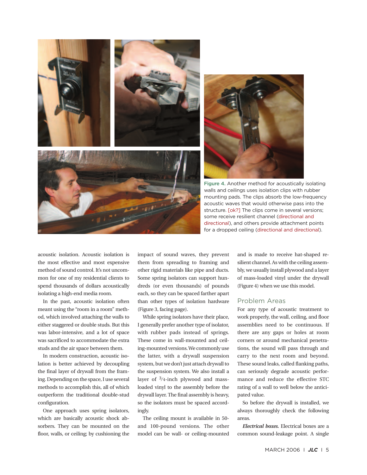

walls and ceilings uses isolation clips with rubber mounting pads. The clips absorb the low-frequency acoustic waves that would otherwise pass into the structure. [ok?] The clips come in several versions; some receive resilient channel (directional and directional), and others provide attachment points for a dropped ceiling (directional and directional).

acoustic isolation. Acoustic isolation is the most effective and most expensive method of sound control. It's not uncommon for one of my residential clients to spend thousands of dollars acoustically isolating a high-end media room.

In the past, acoustic isolation often meant using the "room in a room" method, which involved attaching the walls to either staggered or double studs. But this was labor-intensive, and a lot of space was sacrificed to accommodate the extra studs and the air space between them.

In modern construction, acoustic isolation is better achieved by decoupling the final layer of drywall from the framing. Depending on the space, I use several methods to accomplish this, all of which outperform the traditional double-stud configuration.

One approach uses spring isolators, which are basically acoustic shock absorbers. They can be mounted on the floor, walls, or ceiling; by cushioning the impact of sound waves, they prevent them from spreading to framing and other rigid materials like pipe and ducts. Some spring isolators can support hundreds (or even thousands) of pounds each, so they can be spaced farther apart than other types of isolation hardware (Figure 3, facing page).

While spring isolators have their place, I generally prefer another type of isolator, with rubber pads instead of springs. These come in wall-mounted and ceiling-mounted versions. We commonly use the latter, with a drywall suspension system, but we don't just attach drywall to the suspension system. We also install a layer of  $\frac{3}{4}$ -inch plywood and massloaded vinyl to the assembly before the drywall layer. The final assembly is heavy, so the isolators must be spaced accordingly.

The ceiling mount is available in 50 and 100-pound versions. The other model can be wall- or ceiling-mounted

and is made to receive hat-shaped resilient channel. As with the ceiling assembly, we usually install plywood and a layer of mass-loaded vinyl under the drywall (Figure 4) when we use this model.

#### Problem Areas

For any type of acoustic treatment to work properly, the wall, ceiling, and floor assemblies need to be continuous. If there are any gaps or holes at room corners or around mechanical penetrations, the sound will pass through and carry to the next room and beyond. These sound leaks, called flanking paths, can seriously degrade acoustic performance and reduce the effective STC rating of a wall to well below the anticipated value.

So before the drywall is installed, we always thoroughly check the following areas.

*Electrical boxes.* Electrical boxes are a common sound-leakage point. A single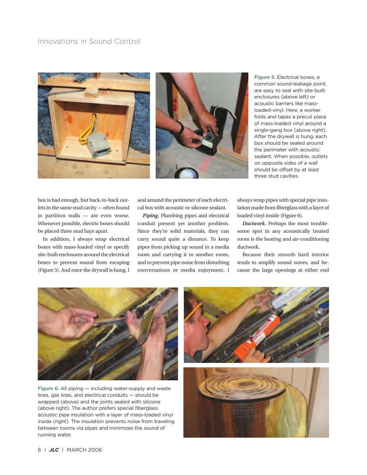



Figure 5. Electrical boxes, a common sound-leakage point, are easy to seal with site-built enclosures (above left) or acoustic barriers like massloaded-vinyl. Here, a worker folds and tapes a precut piece of mass-loaded vinyl around a single-gang box (above right). After the drywall is hung, each box should be sealed around the perimeter with acoustic sealant. When possible, outlets on opposite sides of a wall should be offset by at least three stud cavities.

box is bad enough, but back-to-back outlets in the same stud cavity — often found in partition walls — are even worse. Whenever possible, electric boxes should be placed three stud bays apart.

In addition, I always wrap electrical boxes with mass-loaded vinyl or specify site-built enclosures around the electrical boxes to prevent sound from escaping (Figure 5). And once the drywall is hung, I

seal around the perimeter of each electrical box with acoustic or silicone sealant.

*Piping.* Plumbing pipes and electrical conduit present yet another problem. Since they're solid materials, they can carry sound quite a distance. To keep pipes from picking up sound in a media room and carrying it to another room, and to prevent pipe noise from disturbing conversations or media enjoyment, I

always wrap pipes with special pipe insulation made from fiberglass with a layer of loaded vinyl inside (Figure 6).

*Ductwork.* Perhaps the most troublesome spot in any acoustically treated room is the heating and air-conditioning ductwork.

Because their smooth hard interior tends to amplify sound waves, and because the large openings at either end



Figure 6. All piping — including water-supply and waste lines, gas lines, and electrical conduits — should be wrapped (above) and the joints sealed with silicone (above right). The author prefers special fiberglass acoustic pipe insulation with a layer of mass-loaded vinyl inside (right). The insulation prevents noise from traveling between rooms via pipes and minimizes the sound of running water.

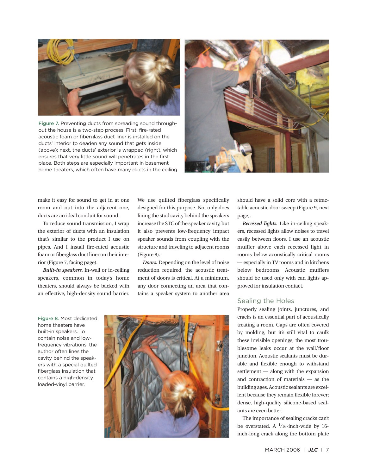

Figure 7. Preventing ducts from spreading sound throughout the house is a two-step process. First, fire-rated acoustic foam or fiberglass duct liner is installed on the ducts' interior to deaden any sound that gets inside (above); next, the ducts' exterior is wrapped (right), which ensures that very little sound will penetrates in the first place. Both steps are especially important in basement home theaters, which often have many ducts in the ceiling.



make it easy for sound to get in at one room and out into the adjacent one, ducts are an ideal conduit for sound.

To reduce sound transmission, I wrap the exterior of ducts with an insulation that's similar to the product I use on pipes. And I install fire-rated acoustic foam or fiberglass duct liner on their interior (Figure 7, facing page).

*Built-in speakers.* In-wall or in-ceiling speakers, common in today's home theaters, should always be backed with an effective, high-density sound barrier.

We use quilted fiberglass specifically designed for this purpose. Not only does lining the stud cavity behind the speakers increase the STC of the speaker cavity, but it also prevents low-frequency impact speaker sounds from coupling with the structure and traveling to adjacent rooms (Figure 8).

*Doors.* Depending on the level of noise reduction required, the acoustic treatment of doors is critical. At a minimum, any door connecting an area that contains a speaker system to another area

Figure 8. Most dedicated home theaters have built-in speakers. To contain noise and lowfrequency vibrations, the author often lines the cavity behind the speakers with a special quilted fiberglass insulation that contains a high-density loaded-vinyl barrier.



should have a solid core with a retractable acoustic door sweep (Figure 9, next page).

*Recessed lights.* Like in-ceiling speakers, recessed lights allow noises to travel easily between floors. I use an acoustic muffler above each recessed light in rooms below acoustically critical rooms — especially in TV rooms and in kitchens below bedrooms. Acoustic mufflers should be used only with can lights approved for insulation contact.

#### Sealing the Holes

Properly sealing joints, junctures, and cracks is an essential part of acoustically treating a room. Gaps are often covered by molding, but it's still vital to caulk these invisible openings; the most troublesome leaks occur at the wall/floor junction. Acoustic sealants must be durable and flexible enough to withstand settlement — along with the expansion and contraction of materials — as the building ages. Acoustic sealants are excellent because they remain flexible forever; dense, high-quality silicone-based sealants are even better.

The importance of sealing cracks can't be overstated. A  $\frac{1}{16}$ -inch-wide by 16inch-long crack along the bottom plate